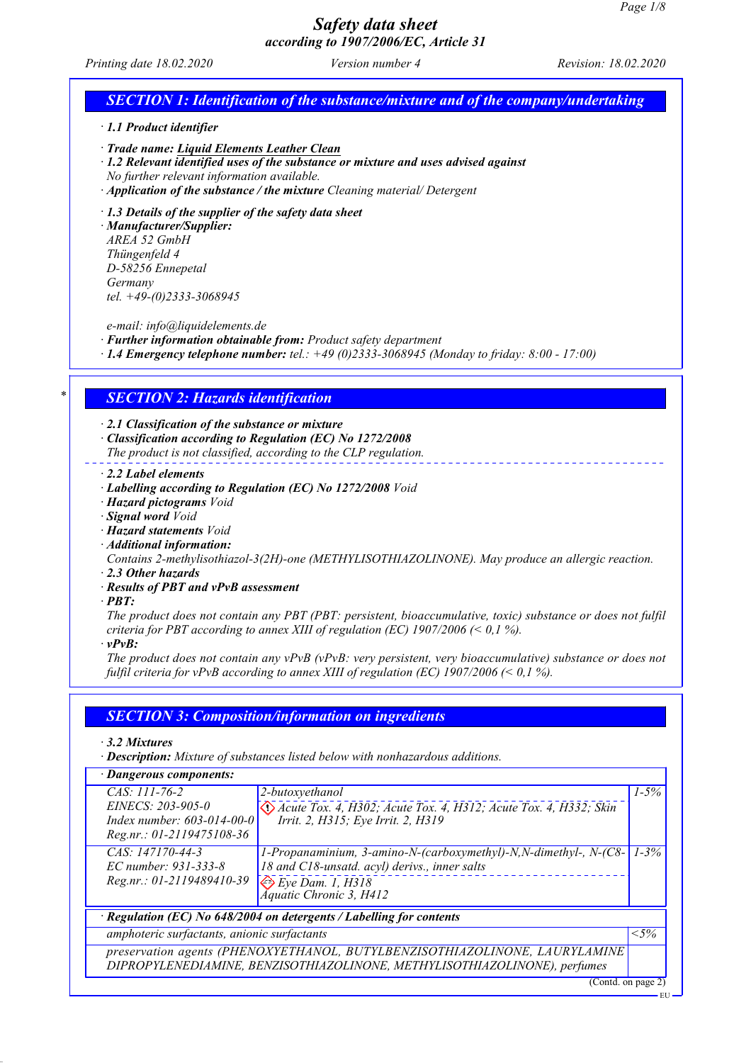*Printing date 18.02.2020 Version number 4 Revision: 18.02.2020*

| $\cdot$ 1.1 Product identifier                                                                                                                                                                                                                                       |                                                                                                                                                                                                                                                                                                                                                                                                                |
|----------------------------------------------------------------------------------------------------------------------------------------------------------------------------------------------------------------------------------------------------------------------|----------------------------------------------------------------------------------------------------------------------------------------------------------------------------------------------------------------------------------------------------------------------------------------------------------------------------------------------------------------------------------------------------------------|
| · Trade name: Liquid Elements Leather Clean<br>No further relevant information available.                                                                                                                                                                            | $\cdot$ 1.2 Relevant identified uses of the substance or mixture and uses advised against<br>· Application of the substance / the mixture Cleaning material/ Detergent                                                                                                                                                                                                                                         |
| $\cdot$ 1.3 Details of the supplier of the safety data sheet<br>· Manufacturer/Supplier:<br>AREA 52 GmbH<br>Thüngenfeld 4<br>D-58256 Ennepetal<br>Germany<br>tel. $+49-(0)2333-3068945$                                                                              |                                                                                                                                                                                                                                                                                                                                                                                                                |
| e-mail: info@liquidelements.de                                                                                                                                                                                                                                       | · Further information obtainable from: Product safety department<br>$\cdot$ 1.4 Emergency telephone number: tel.: +49 (0)2333-3068945 (Monday to friday: 8:00 - 17:00)                                                                                                                                                                                                                                         |
| <b>SECTION 2: Hazards identification</b>                                                                                                                                                                                                                             |                                                                                                                                                                                                                                                                                                                                                                                                                |
| $\cdot$ 2.1 Classification of the substance or mixture<br>$\cdot$ 2.2 Label elements<br>· Hazard pictograms Void<br>· Signal word Void<br>· Hazard statements Void<br>· Additional information:<br>$\cdot$ 2.3 Other hazards<br>· Results of PBT and vPvB assessment | Classification according to Regulation (EC) No 1272/2008<br>The product is not classified, according to the CLP regulation.<br>· Labelling according to Regulation (EC) No 1272/2008 Void<br>Contains 2-methylisothiazol-3(2H)-one (METHYLISOTHIAZOLINONE). May produce an allergic reaction.                                                                                                                  |
| $\cdot$ PBT:<br>vPvB:                                                                                                                                                                                                                                                | The product does not contain any PBT (PBT: persistent, bioaccumulative, toxic) substance or does not fulfil<br>criteria for PBT according to annex XIII of regulation (EC) 1907/2006 (< 0,1 %).<br>The product does not contain any $vPvB$ ( $vPvB$ : very persistent, very bioaccumulative) substance or does not<br>fulfil criteria for vPvB according to annex XIII of regulation (EC) 1907/2006 (< 0,1 %). |
|                                                                                                                                                                                                                                                                      |                                                                                                                                                                                                                                                                                                                                                                                                                |
|                                                                                                                                                                                                                                                                      | <b>SECTION 3: Composition/information on ingredients</b>                                                                                                                                                                                                                                                                                                                                                       |
| $\cdot$ 3.2 Mixtures                                                                                                                                                                                                                                                 | · Description: Mixture of substances listed below with nonhazardous additions.                                                                                                                                                                                                                                                                                                                                 |
| · Dangerous components:                                                                                                                                                                                                                                              |                                                                                                                                                                                                                                                                                                                                                                                                                |
| CAS: 111-76-2<br>EINECS: 203-905-0<br>Index number: 603-014-00-0<br>Reg.nr.: 01-2119475108-36                                                                                                                                                                        | $1 - 5\%$<br>2-butoxyethanol<br>De Acute Tox. 4, H302; Acute Tox. 4, H312; Acute Tox. 4, H332; Skin<br>Irrit. 2, H315; Eye Irrit. 2, H319                                                                                                                                                                                                                                                                      |
| CAS: 147170-44-3<br>EC number: 931-333-8<br>Reg.nr.: 01-2119489410-39                                                                                                                                                                                                | 1-Propanaminium, 3-amino-N-(carboxymethyl)-N,N-dimethyl-, N-(C8-<br>$1 - 3\%$<br>18 and C18-unsatd. acyl) derivs., inner salts<br>$Eye$ Dam. 1, $H318$                                                                                                                                                                                                                                                         |
|                                                                                                                                                                                                                                                                      | <b>Áquatic Chronic 3, H412</b>                                                                                                                                                                                                                                                                                                                                                                                 |
| amphoteric surfactants, anionic surfactants                                                                                                                                                                                                                          | · Regulation (EC) No 648/2004 on detergents / Labelling for contents<br>$<$ 5%                                                                                                                                                                                                                                                                                                                                 |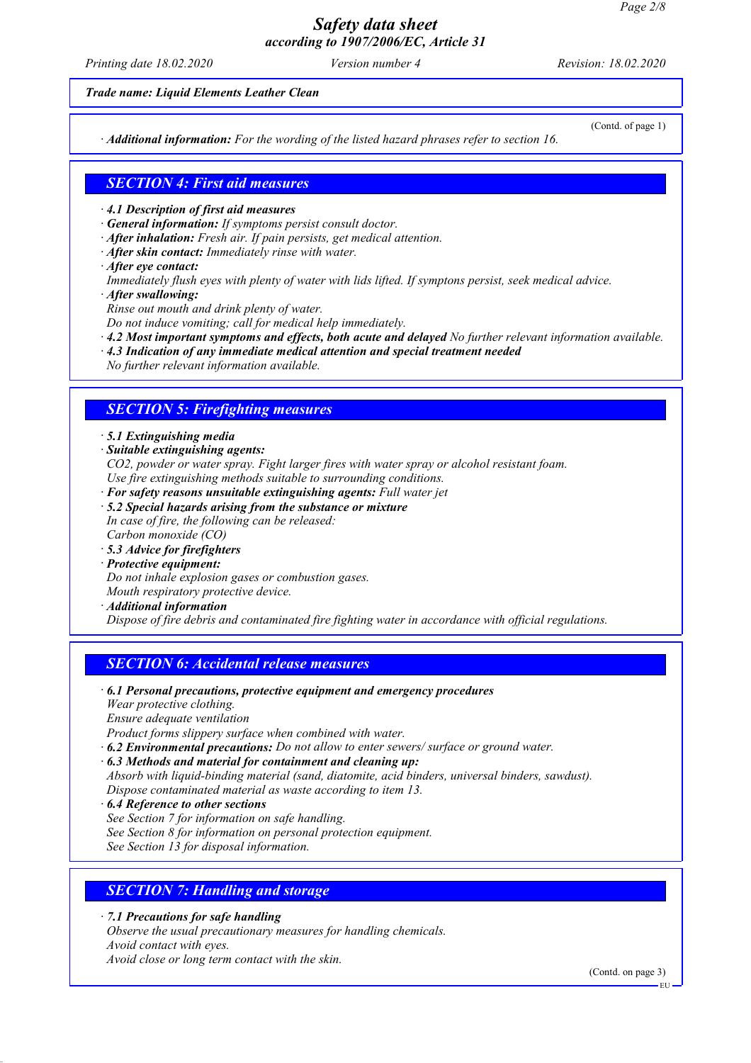*Printing date 18.02.2020 Version number 4 Revision: 18.02.2020*

*Trade name: Liquid Elements Leather Clean*

*· Additional information: For the wording of the listed hazard phrases refer to section 16.*

(Contd. of page 1)

### *SECTION 4: First aid measures*

- *· 4.1 Description of first aid measures*
- *· General information: If symptoms persist consult doctor.*
- *· After inhalation: Fresh air. If pain persists, get medical attention.*
- *· After skin contact: Immediately rinse with water.*
- *· After eye contact:*
- *Immediately flush eyes with plenty of water with lids lifted. If symptons persist, seek medical advice.*
- *· After swallowing:*
- *Rinse out mouth and drink plenty of water.*
- *Do not induce vomiting; call for medical help immediately.*
- *· 4.2 Most important symptoms and effects, both acute and delayed No further relevant information available.*
- *· 4.3 Indication of any immediate medical attention and special treatment needed*
- *No further relevant information available.*

### *SECTION 5: Firefighting measures*

### *· 5.1 Extinguishing media*

*· Suitable extinguishing agents:*

*CO2, powder or water spray. Fight larger fires with water spray or alcohol resistant foam. Use fire extinguishing methods suitable to surrounding conditions.*

- *· For safety reasons unsuitable extinguishing agents: Full water jet*
- *· 5.2 Special hazards arising from the substance or mixture*
- *In case of fire, the following can be released: Carbon monoxide (CO)*
- *· 5.3 Advice for firefighters*
- *· Protective equipment:*

*Do not inhale explosion gases or combustion gases.*

*Mouth respiratory protective device.*

*· Additional information*

*Dispose of fire debris and contaminated fire fighting water in accordance with official regulations.*

### *SECTION 6: Accidental release measures*

- *· 6.1 Personal precautions, protective equipment and emergency procedures Wear protective clothing. Ensure adequate ventilation*
- *Product forms slippery surface when combined with water.*
- *· 6.2 Environmental precautions: Do not allow to enter sewers/ surface or ground water.*
- *· 6.3 Methods and material for containment and cleaning up:*
- *Absorb with liquid-binding material (sand, diatomite, acid binders, universal binders, sawdust). Dispose contaminated material as waste according to item 13.*
- *· 6.4 Reference to other sections*
- *See Section 7 for information on safe handling.*
- *See Section 8 for information on personal protection equipment.*

*See Section 13 for disposal information.*

### *SECTION 7: Handling and storage*

*· 7.1 Precautions for safe handling*

*Observe the usual precautionary measures for handling chemicals. Avoid contact with eyes. Avoid close or long term contact with the skin.*

(Contd. on page 3)

EU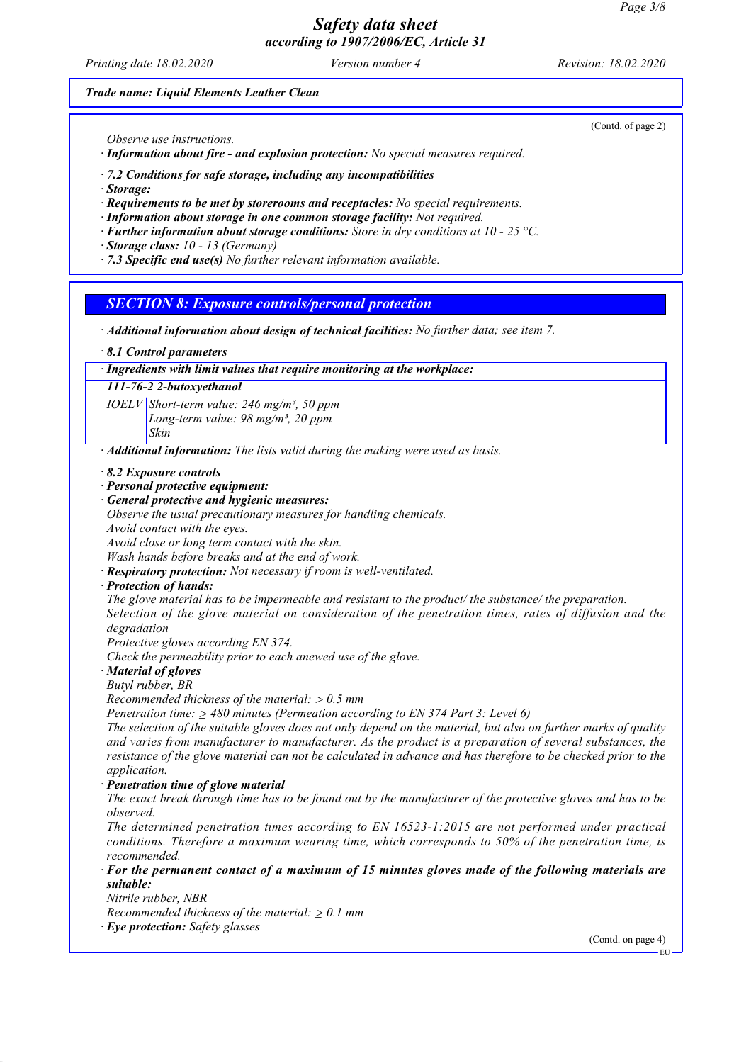*Printing date 18.02.2020 Version number 4 Revision: 18.02.2020*

*Trade name: Liquid Elements Leather Clean*

*Observe use instructions.*

*· Information about fire - and explosion protection: No special measures required.*

*· 7.2 Conditions for safe storage, including any incompatibilities*

*· Storage:*

*· Requirements to be met by storerooms and receptacles: No special requirements.*

*· Information about storage in one common storage facility: Not required.*

*· Further information about storage conditions: Store in dry conditions at 10 - 25 °C.*

*· Storage class: 10 - 13 (Germany)*

*· 7.3 Specific end use(s) No further relevant information available.*

### *SECTION 8: Exposure controls/personal protection*

*· Additional information about design of technical facilities: No further data; see item 7.*

*· 8.1 Control parameters*

*· Ingredients with limit values that require monitoring at the workplace:*

*111-76-2 2-butoxyethanol*

*IOELV Short-term value: 246 mg/m³, 50 ppm Long-term value: 98 mg/m³, 20 ppm Skin*

*· Additional information: The lists valid during the making were used as basis.*

*· 8.2 Exposure controls*

*· Personal protective equipment:*

*· General protective and hygienic measures:*

*Observe the usual precautionary measures for handling chemicals. Avoid contact with the eyes.*

*Avoid close or long term contact with the skin.*

*Wash hands before breaks and at the end of work. · Respiratory protection: Not necessary if room is well-ventilated.*

*· Protection of hands:*

*The glove material has to be impermeable and resistant to the product/ the substance/ the preparation. Selection of the glove material on consideration of the penetration times, rates of diffusion and the degradation*

*Protective gloves according EN 374.*

*Check the permeability prior to each anewed use of the glove.*

*· Material of gloves*

*Butyl rubber, BR*

*Recommended thickness of the material:* ≥ *0.5 mm*

*Penetration time:* ≥ *480 minutes (Permeation according to EN 374 Part 3: Level 6)*

*The selection of the suitable gloves does not only depend on the material, but also on further marks of quality and varies from manufacturer to manufacturer. As the product is a preparation of several substances, the resistance of the glove material can not be calculated in advance and has therefore to be checked prior to the application.*

*· Penetration time of glove material*

*The exact break through time has to be found out by the manufacturer of the protective gloves and has to be observed.*

*The determined penetration times according to EN 16523-1:2015 are not performed under practical conditions. Therefore a maximum wearing time, which corresponds to 50% of the penetration time, is recommended.*

*· For the permanent contact of a maximum of 15 minutes gloves made of the following materials are suitable:*

*Nitrile rubber, NBR*

*Recommended thickness of the material:* ≥ *0.1 mm*

*· Eye protection: Safety glasses*

(Contd. on page 4)

(Contd. of page 2)

EU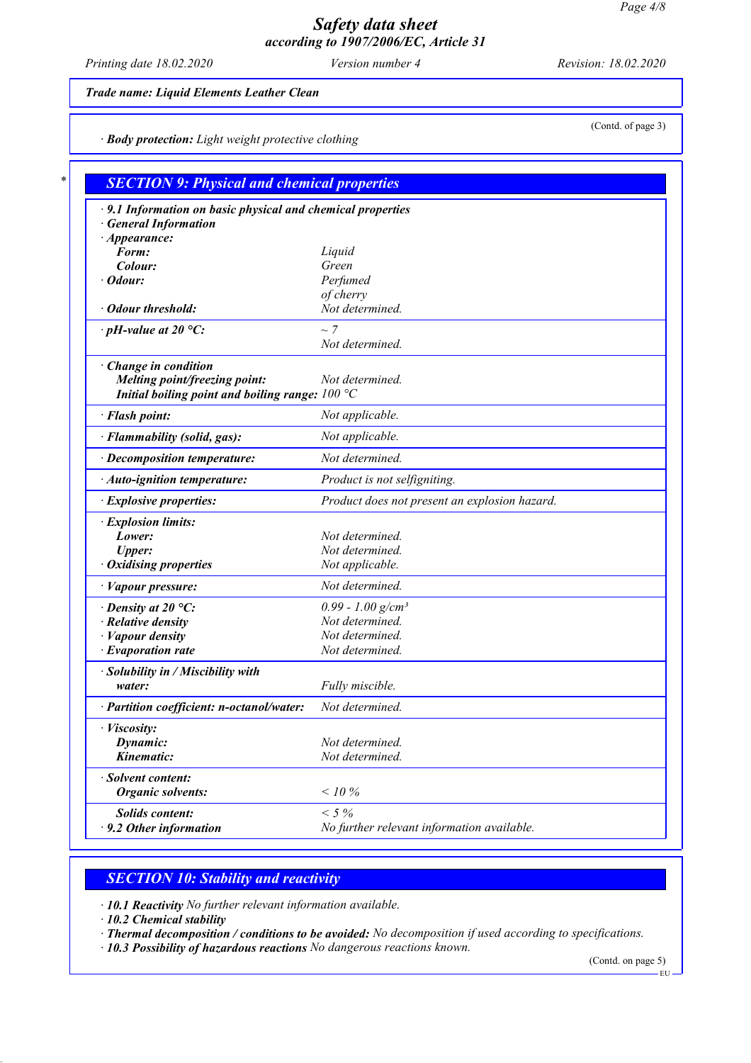*Printing date 18.02.2020 Version number 4 Revision: 18.02.2020*

### *Trade name: Liquid Elements Leather Clean*

*· Body protection: Light weight protective clothing*

| $\cdot$ 9.1 Information on basic physical and chemical properties |                                               |
|-------------------------------------------------------------------|-----------------------------------------------|
| <b>General Information</b>                                        |                                               |
| $\cdot$ Appearance:                                               |                                               |
| Form:                                                             | Liquid                                        |
| Colour:                                                           | Green                                         |
| $\cdot$ Odour:                                                    | Perfumed                                      |
|                                                                   | of cherry                                     |
| · Odour threshold:                                                | Not determined.                               |
| $\cdot$ pH-value at 20 °C:                                        | $\sim$ 7                                      |
|                                                                   | Not determined.                               |
| Change in condition                                               |                                               |
| Melting point/freezing point:                                     | Not determined.                               |
| Initial boiling point and boiling range: $100 °C$                 |                                               |
| · Flash point:                                                    | Not applicable.                               |
| · Flammability (solid, gas):                                      | Not applicable.                               |
| · Decomposition temperature:                                      | Not determined.                               |
| $\cdot$ Auto-ignition temperature:                                | Product is not selfigniting.                  |
| · Explosive properties:                                           | Product does not present an explosion hazard. |
| · Explosion limits:                                               |                                               |
| Lower:                                                            | Not determined.                               |
| <b>Upper:</b>                                                     | Not determined.                               |
| · Oxidising properties                                            | Not applicable.                               |
| · Vapour pressure:                                                | Not determined.                               |
| $\cdot$ Density at 20 °C:                                         | $0.99 - 1.00$ g/cm <sup>3</sup>               |
| $\cdot$ Relative density                                          | Not determined.                               |
| $\cdot$ <i>Vapour density</i>                                     | Not determined.                               |
| $\cdot$ Evaporation rate                                          | Not determined.                               |
| · Solubility in / Miscibility with                                |                                               |
| water:                                                            | Fully miscible.                               |
| · Partition coefficient: n-octanol/water:                         | Not determined.                               |
| · <i>Viscosity</i> :                                              |                                               |
| Dynamic:                                                          | Not determined.                               |
| Kinematic:                                                        | Not determined.                               |
| · Solvent content:                                                |                                               |
| <b>Organic solvents:</b>                                          | $< 10 \%$                                     |
| <b>Solids content:</b>                                            | $< 5 \%$                                      |
| $\cdot$ 9.2 Other information                                     | No further relevant information available.    |

## *SECTION 10: Stability and reactivity*

*· 10.1 Reactivity No further relevant information available.*

*· 10.2 Chemical stability*

*· Thermal decomposition / conditions to be avoided: No decomposition if used according to specifications.*

*· 10.3 Possibility of hazardous reactions No dangerous reactions known.*

(Contd. on page 5)

(Contd. of page 3)

EU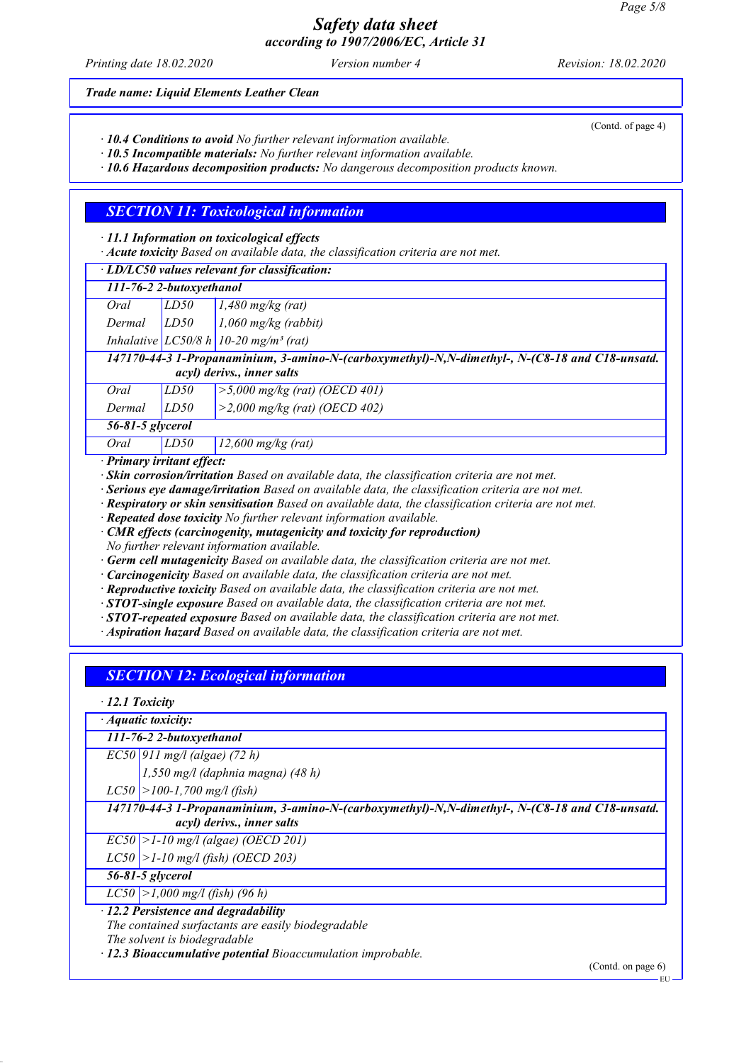*Printing date 18.02.2020 Version number 4 Revision: 18.02.2020*

*Trade name: Liquid Elements Leather Clean*

*· 10.4 Conditions to avoid No further relevant information available.*

*· 10.5 Incompatible materials: No further relevant information available.*

*· 10.6 Hazardous decomposition products: No dangerous decomposition products known.*

### *SECTION 11: Toxicological information*

*· 11.1 Information on toxicological effects*

*· Acute toxicity Based on available data, the classification criteria are not met.*

|                                                                                                |      | · LD/LC50 values relevant for classification:       |  |  |  |
|------------------------------------------------------------------------------------------------|------|-----------------------------------------------------|--|--|--|
| 111-76-2 2-butoxyethanol                                                                       |      |                                                     |  |  |  |
| Oral                                                                                           | LD50 | $1,480$ mg/kg (rat)                                 |  |  |  |
| Dermal                                                                                         | LD50 | $1,060$ mg/kg (rabbit)                              |  |  |  |
|                                                                                                |      | Inhalative $LC50/8 h$ 10-20 mg/m <sup>3</sup> (rat) |  |  |  |
| 147170-44-3 1-Propanaminium, 3-amino-N-(carboxymethyl)-N,N-dimethyl-, N-(C8-18 and C18-unsatd. |      |                                                     |  |  |  |
| acyl) derivs., inner salts                                                                     |      |                                                     |  |  |  |
| Oral                                                                                           | LD50 | $>5,000$ mg/kg (rat) (OECD 401)                     |  |  |  |
| Dermal                                                                                         | LD50 | $>2,000$ mg/kg (rat) (OECD 402)                     |  |  |  |
| 56-81-5 glycerol                                                                               |      |                                                     |  |  |  |
| Oral                                                                                           | LD50 | $12,600$ mg/kg (rat)                                |  |  |  |

*· Primary irritant effect:*

*· Skin corrosion/irritation Based on available data, the classification criteria are not met.*

*· Serious eye damage/irritation Based on available data, the classification criteria are not met.*

*· Respiratory or skin sensitisation Based on available data, the classification criteria are not met.*

*· Repeated dose toxicity No further relevant information available.*

*· CMR effects (carcinogenity, mutagenicity and toxicity for reproduction) No further relevant information available.*

*· Germ cell mutagenicity Based on available data, the classification criteria are not met.*

*· Carcinogenicity Based on available data, the classification criteria are not met.*

*· Reproductive toxicity Based on available data, the classification criteria are not met.*

*· STOT-single exposure Based on available data, the classification criteria are not met.*

*· STOT-repeated exposure Based on available data, the classification criteria are not met.*

*· Aspiration hazard Based on available data, the classification criteria are not met.*

## *SECTION 12: Ecological information*

*· 12.1 Toxicity*

*· Aquatic toxicity:*

# *111-76-2 2-butoxyethanol*

*EC50 911 mg/l (algae) (72 h)*

*1,550 mg/l (daphnia magna) (48 h)*

*LC50 >100-1,700 mg/l (fish)*

*147170-44-3 1-Propanaminium, 3-amino-N-(carboxymethyl)-N,N-dimethyl-, N-(C8-18 and C18-unsatd. acyl) derivs., inner salts*

*EC50 >1-10 mg/l (algae) (OECD 201)*

*LC50 >1-10 mg/l (fish) (OECD 203)*

*56-81-5 glycerol*

*LC50 >1,000 mg/l (fish) (96 h)*

*· 12.2 Persistence and degradability*

*The contained surfactants are easily biodegradable The solvent is biodegradable*

*· 12.3 Bioaccumulative potential Bioaccumulation improbable.*

(Contd. on page 6)

(Contd. of page 4)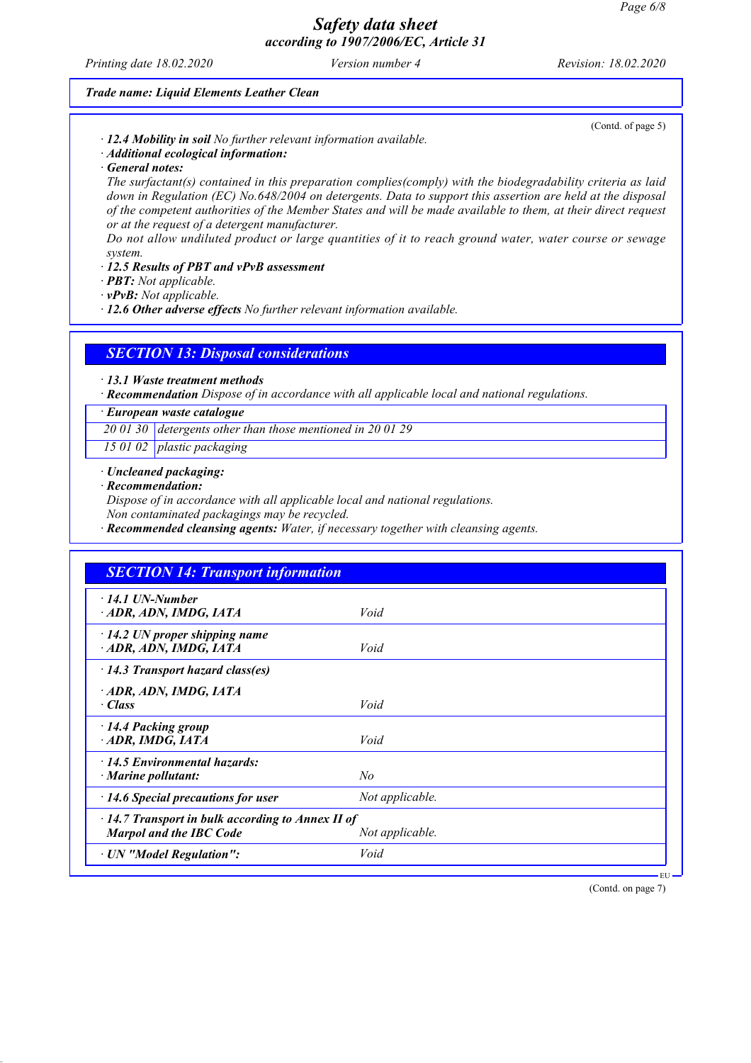*Printing date 18.02.2020 Version number 4 Revision: 18.02.2020*

(Contd. of page 5)

#### *Trade name: Liquid Elements Leather Clean*

*· 12.4 Mobility in soil No further relevant information available.*

*· Additional ecological information:*

*· General notes:*

*The surfactant(s) contained in this preparation complies(comply) with the biodegradability criteria as laid down in Regulation (EC) No.648/2004 on detergents. Data to support this assertion are held at the disposal of the competent authorities of the Member States and will be made available to them, at their direct request or at the request of a detergent manufacturer.*

*Do not allow undiluted product or large quantities of it to reach ground water, water course or sewage system.*

*· 12.5 Results of PBT and vPvB assessment*

*· PBT: Not applicable.*

*· vPvB: Not applicable.*

*· 12.6 Other adverse effects No further relevant information available.*

*SECTION 13: Disposal considerations*

*· 13.1 Waste treatment methods*

*· Recommendation Dispose of in accordance with all applicable local and national regulations.*

#### *· European waste catalogue*

*20 01 30 detergents other than those mentioned in 20 01 29*

*15 01 02 plastic packaging*

### *· Uncleaned packaging:*

#### *· Recommendation:*

*Dispose of in accordance with all applicable local and national regulations.*

*Non contaminated packagings may be recycled.*

*· Recommended cleansing agents: Water, if necessary together with cleansing agents.*

| <b>SECTION 14: Transport information</b>                                                  |                 |  |
|-------------------------------------------------------------------------------------------|-----------------|--|
| $\cdot$ 14.1 UN-Number<br>· ADR, ADN, IMDG, IATA                                          | Void            |  |
| $\cdot$ 14.2 UN proper shipping name<br>ADR, ADN, IMDG, IATA                              | Void            |  |
| $\cdot$ 14.3 Transport hazard class(es)                                                   |                 |  |
| ADR, ADN, IMDG, IATA<br>$\cdot$ Class                                                     | Void            |  |
| 14.4 Packing group<br>ADR, IMDG, IATA                                                     | Void            |  |
| $\cdot$ 14.5 Environmental hazards:<br>$\cdot$ Marine pollutant:                          | No              |  |
| $\cdot$ 14.6 Special precautions for user                                                 | Not applicable. |  |
| $\cdot$ 14.7 Transport in bulk according to Annex II of<br><b>Marpol and the IBC Code</b> | Not applicable. |  |
| · UN "Model Regulation":                                                                  | Void            |  |

(Contd. on page 7)

EU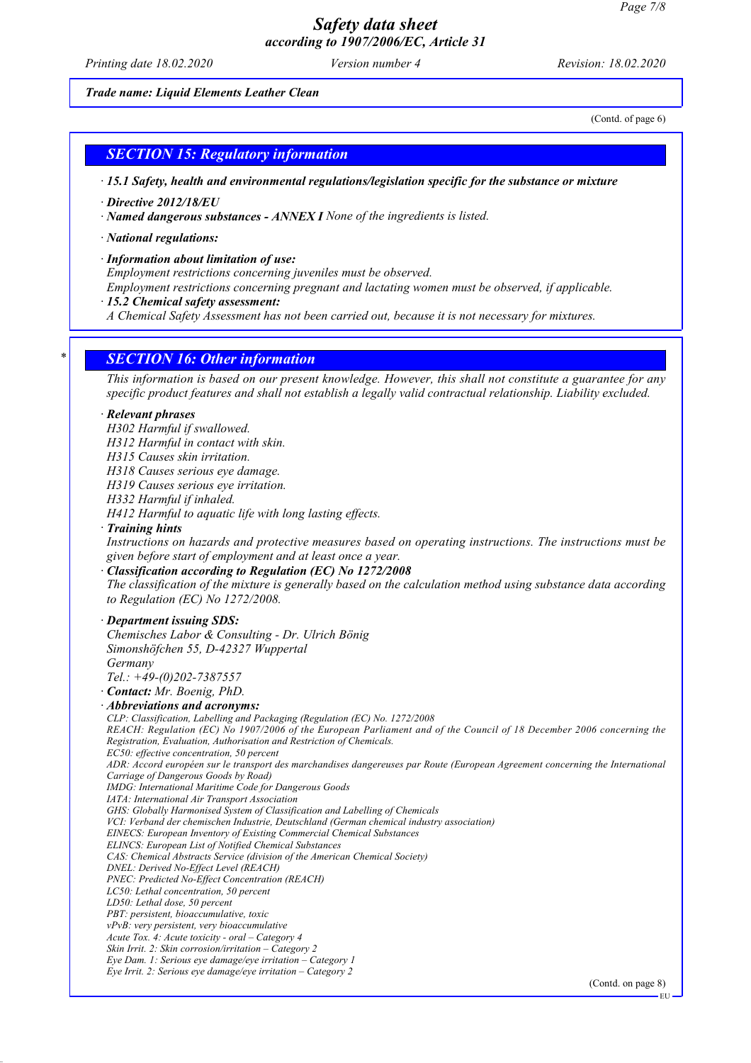*Printing date 18.02.2020 Version number 4 Revision: 18.02.2020*

#### *Trade name: Liquid Elements Leather Clean*

(Contd. of page 6)

### *SECTION 15: Regulatory information*

*· 15.1 Safety, health and environmental regulations/legislation specific for the substance or mixture*

*· Directive 2012/18/EU*

*· Named dangerous substances - ANNEX I None of the ingredients is listed.*

*· National regulations:*

*· Information about limitation of use:*

*Employment restrictions concerning juveniles must be observed.*

*Employment restrictions concerning pregnant and lactating women must be observed, if applicable.*

*· 15.2 Chemical safety assessment:*

*A Chemical Safety Assessment has not been carried out, because it is not necessary for mixtures.*

### *\* SECTION 16: Other information*

*This information is based on our present knowledge. However, this shall not constitute a guarantee for any specific product features and shall not establish a legally valid contractual relationship. Liability excluded.*

#### *· Relevant phrases*

*H302 Harmful if swallowed.*

*H312 Harmful in contact with skin.*

*H315 Causes skin irritation.*

*H318 Causes serious eye damage.*

*H319 Causes serious eye irritation.*

*H332 Harmful if inhaled.*

*H412 Harmful to aquatic life with long lasting effects.*

#### *· Training hints*

*Instructions on hazards and protective measures based on operating instructions. The instructions must be given before start of employment and at least once a year.*

### *· Classification according to Regulation (EC) No 1272/2008*

*The classification of the mixture is generally based on the calculation method using substance data according to Regulation (EC) No 1272/2008.*

### *· Department issuing SDS:*

*Chemisches Labor & Consulting - Dr. Ulrich Bönig Simonshöfchen 55, D-42327 Wuppertal Germany*

*Tel.: +49-(0)202-7387557*

*· Contact: Mr. Boenig, PhD.*

#### *· Abbreviations and acronyms:*

*CLP: Classification, Labelling and Packaging (Regulation (EC) No. 1272/2008 REACH: Regulation (EC) No 1907/2006 of the European Parliament and of the Council of 18 December 2006 concerning the Registration, Evaluation, Authorisation and Restriction of Chemicals. EC50: effective concentration, 50 percent ADR: Accord européen sur le transport des marchandises dangereuses par Route (European Agreement concerning the International*

*Carriage of Dangerous Goods by Road) IMDG: International Maritime Code for Dangerous Goods*

- 
- *IATA: International Air Transport Association*

*GHS: Globally Harmonised System of Classification and Labelling of Chemicals*

*VCI: Verband der chemischen Industrie, Deutschland (German chemical industry association)*

*EINECS: European Inventory of Existing Commercial Chemical Substances*

*ELINCS: European List of Notified Chemical Substances CAS: Chemical Abstracts Service (division of the American Chemical Society)*

- *DNEL: Derived No-Effect Level (REACH)*
- *PNEC: Predicted No-Effect Concentration (REACH)*

*LC50: Lethal concentration, 50 percent*

*LD50: Lethal dose, 50 percent*

*PBT: persistent, bioaccumulative, toxic*

*vPvB: very persistent, very bioaccumulative*

*Acute Tox. 4: Acute toxicity - oral – Category 4*

*Skin Irrit. 2: Skin corrosion/irritation – Category 2*

*Eye Dam. 1: Serious eye damage/eye irritation – Category 1 Eye Irrit. 2: Serious eye damage/eye irritation – Category 2*

(Contd. on page 8)